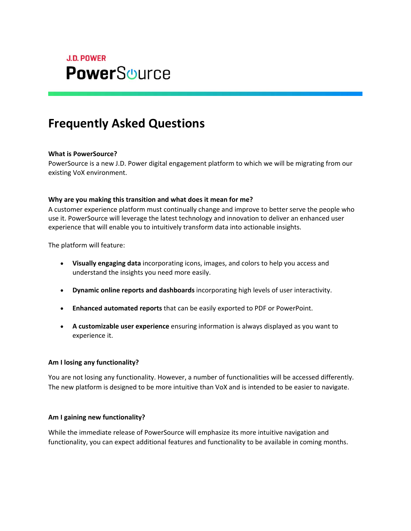

# **Frequently Asked Questions**

## **What is PowerSource?**

PowerSource is a new J.D. Power digital engagement platform to which we will be migrating from our existing VoX environment.

## **Why are you making this transition and what does it mean for me?**

A customer experience platform must continually change and improve to better serve the people who use it. PowerSource will leverage the latest technology and innovation to deliver an enhanced user experience that will enable you to intuitively transform data into actionable insights.

The platform will feature:

- **Visually engaging data** incorporating icons, images, and colors to help you access and understand the insights you need more easily.
- **Dynamic online reports and dashboards** incorporating high levels of user interactivity.
- **Enhanced automated reports** that can be easily exported to PDF or PowerPoint.
- **A customizable user experience** ensuring information is always displayed as you want to experience it.

## **Am I losing any functionality?**

You are not losing any functionality. However, a number of functionalities will be accessed differently. The new platform is designed to be more intuitive than VoX and is intended to be easier to navigate.

## **Am I gaining new functionality?**

While the immediate release of PowerSource will emphasize its more intuitive navigation and functionality, you can expect additional features and functionality to be available in coming months.